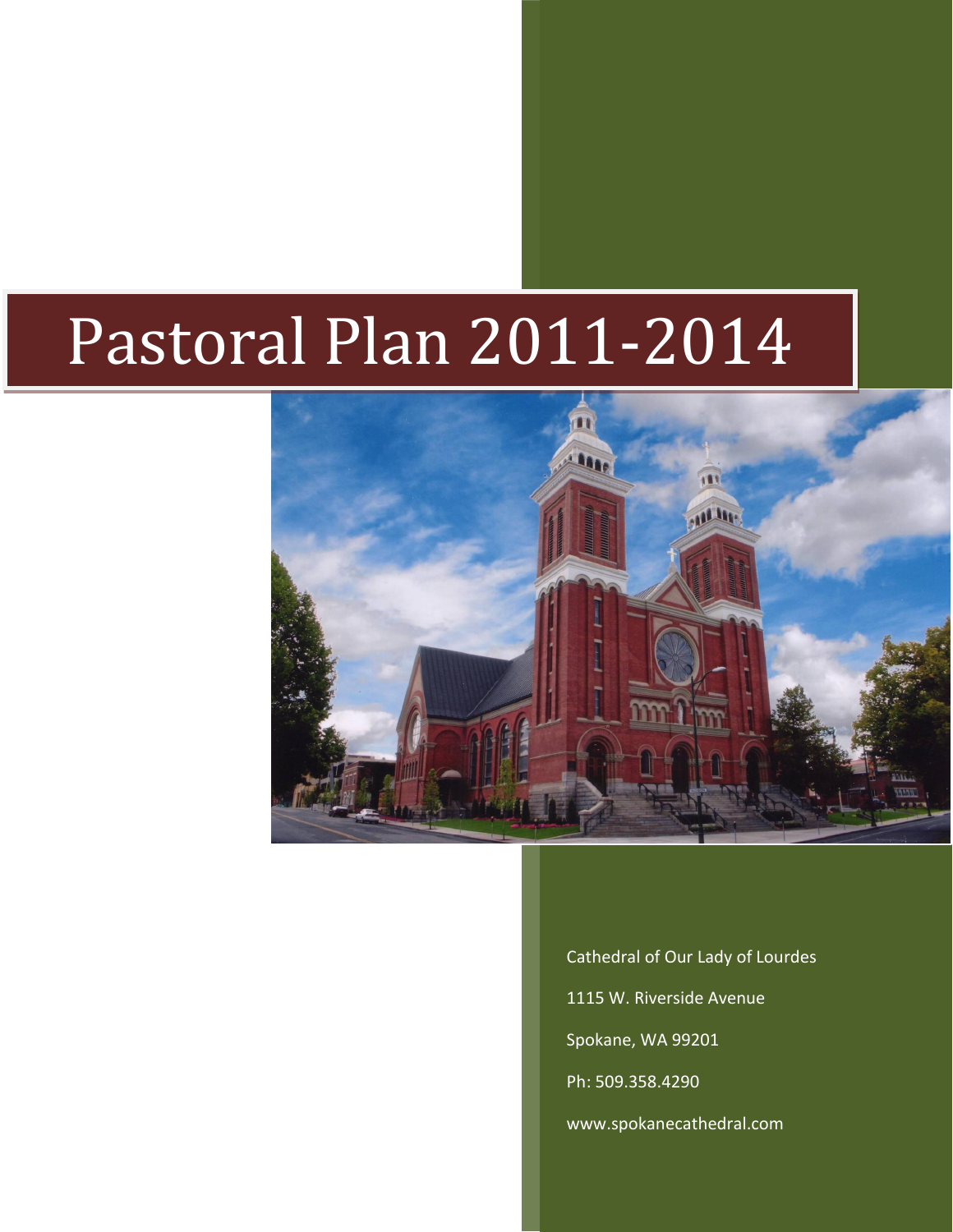# Pastoral Plan 2011-2014



Cathedral of Our Lady of Lourdes 1115 W. Riverside Avenue Spokane, WA 99201 Ph: 509.358.4290 [www.spokanecathedral.com](http://www.spokanecathedral.com/)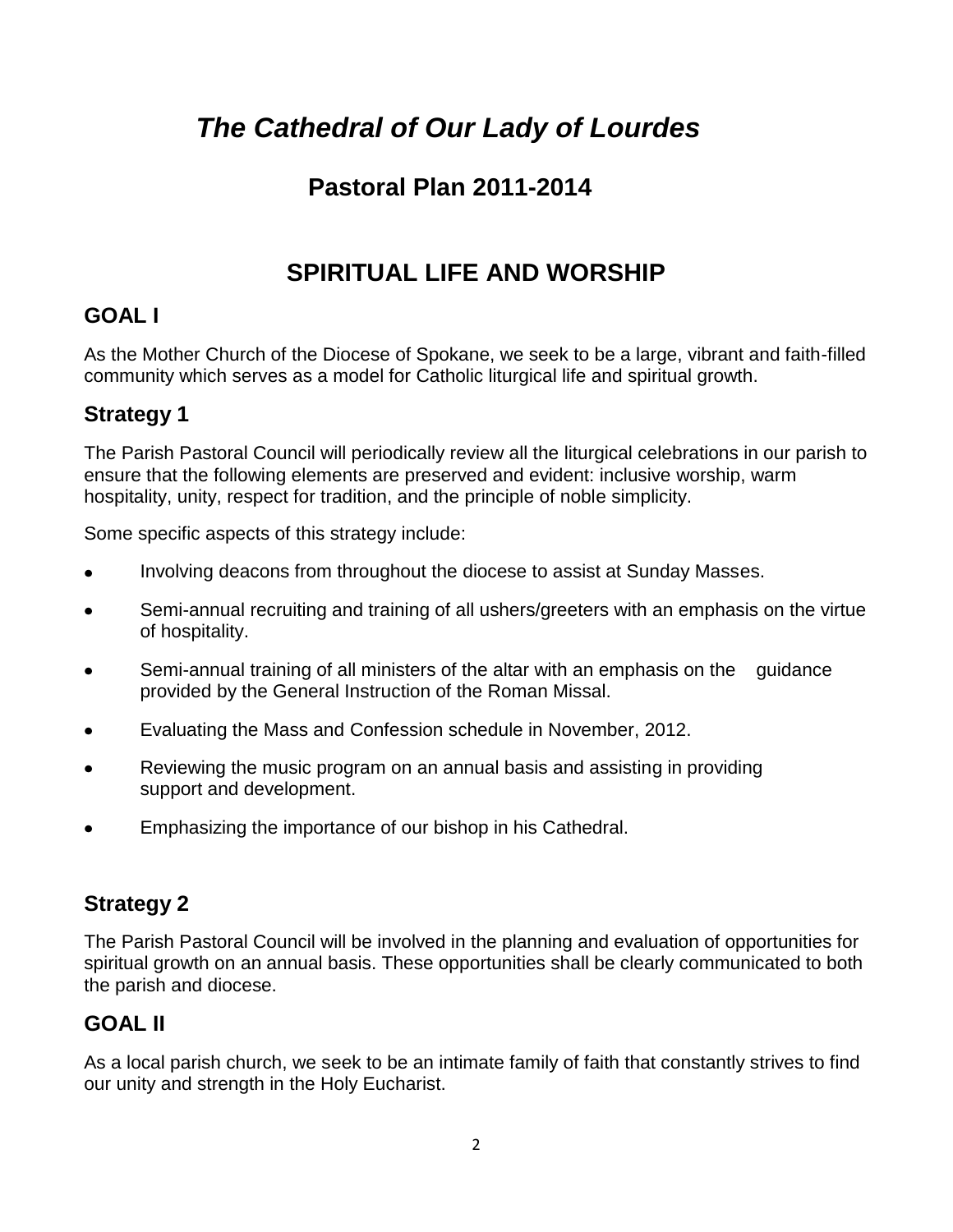# *The Cathedral of Our Lady of Lourdes*

# **Pastoral Plan 2011-2014**

# **SPIRITUAL LIFE AND WORSHIP**

# **GOAL I**

As the Mother Church of the Diocese of Spokane, we seek to be a large, vibrant and faith-filled community which serves as a model for Catholic liturgical life and spiritual growth.

## **Strategy 1**

The Parish Pastoral Council will periodically review all the liturgical celebrations in our parish to ensure that the following elements are preserved and evident: inclusive worship, warm hospitality, unity, respect for tradition, and the principle of noble simplicity.

Some specific aspects of this strategy include:

- Involving deacons from throughout the diocese to assist at Sunday Masses.
- Semi-annual recruiting and training of all ushers/greeters with an emphasis on the virtue of hospitality.
- Semi-annual training of all ministers of the altar with an emphasis on the guidance  $\bullet$ provided by the General Instruction of the Roman Missal.
- Evaluating the Mass and Confession schedule in November, 2012.  $\bullet$
- Reviewing the music program on an annual basis and assisting in providing support and development.
- Emphasizing the importance of our bishop in his Cathedral.

## **Strategy 2**

The Parish Pastoral Council will be involved in the planning and evaluation of opportunities for spiritual growth on an annual basis. These opportunities shall be clearly communicated to both the parish and diocese.

## **GOAL II**

As a local parish church, we seek to be an intimate family of faith that constantly strives to find our unity and strength in the Holy Eucharist.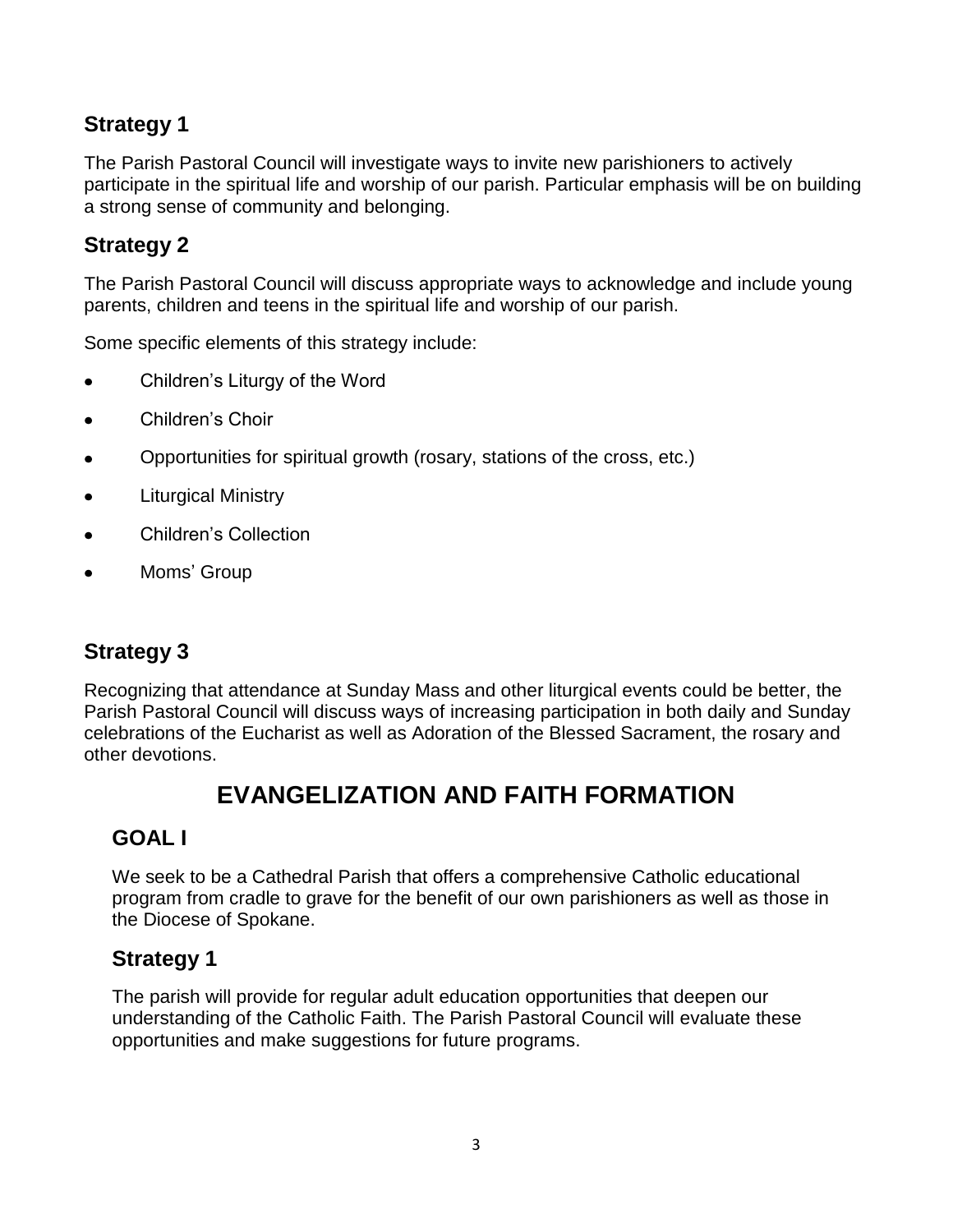## **Strategy 1**

The Parish Pastoral Council will investigate ways to invite new parishioners to actively participate in the spiritual life and worship of our parish. Particular emphasis will be on building a strong sense of community and belonging.

## **Strategy 2**

The Parish Pastoral Council will discuss appropriate ways to acknowledge and include young parents, children and teens in the spiritual life and worship of our parish.

Some specific elements of this strategy include:

- Children's Liturgy of the Word
- Children's Choir
- Opportunities for spiritual growth (rosary, stations of the cross, etc.)
- Liturgical Ministry
- Children's Collection
- Moms' Group

#### **Strategy 3**

Recognizing that attendance at Sunday Mass and other liturgical events could be better, the Parish Pastoral Council will discuss ways of increasing participation in both daily and Sunday celebrations of the Eucharist as well as Adoration of the Blessed Sacrament, the rosary and other devotions.

## **EVANGELIZATION AND FAITH FORMATION**

#### **GOAL I**

We seek to be a Cathedral Parish that offers a comprehensive Catholic educational program from cradle to grave for the benefit of our own parishioners as well as those in the Diocese of Spokane.

#### **Strategy 1**

The parish will provide for regular adult education opportunities that deepen our understanding of the Catholic Faith. The Parish Pastoral Council will evaluate these opportunities and make suggestions for future programs.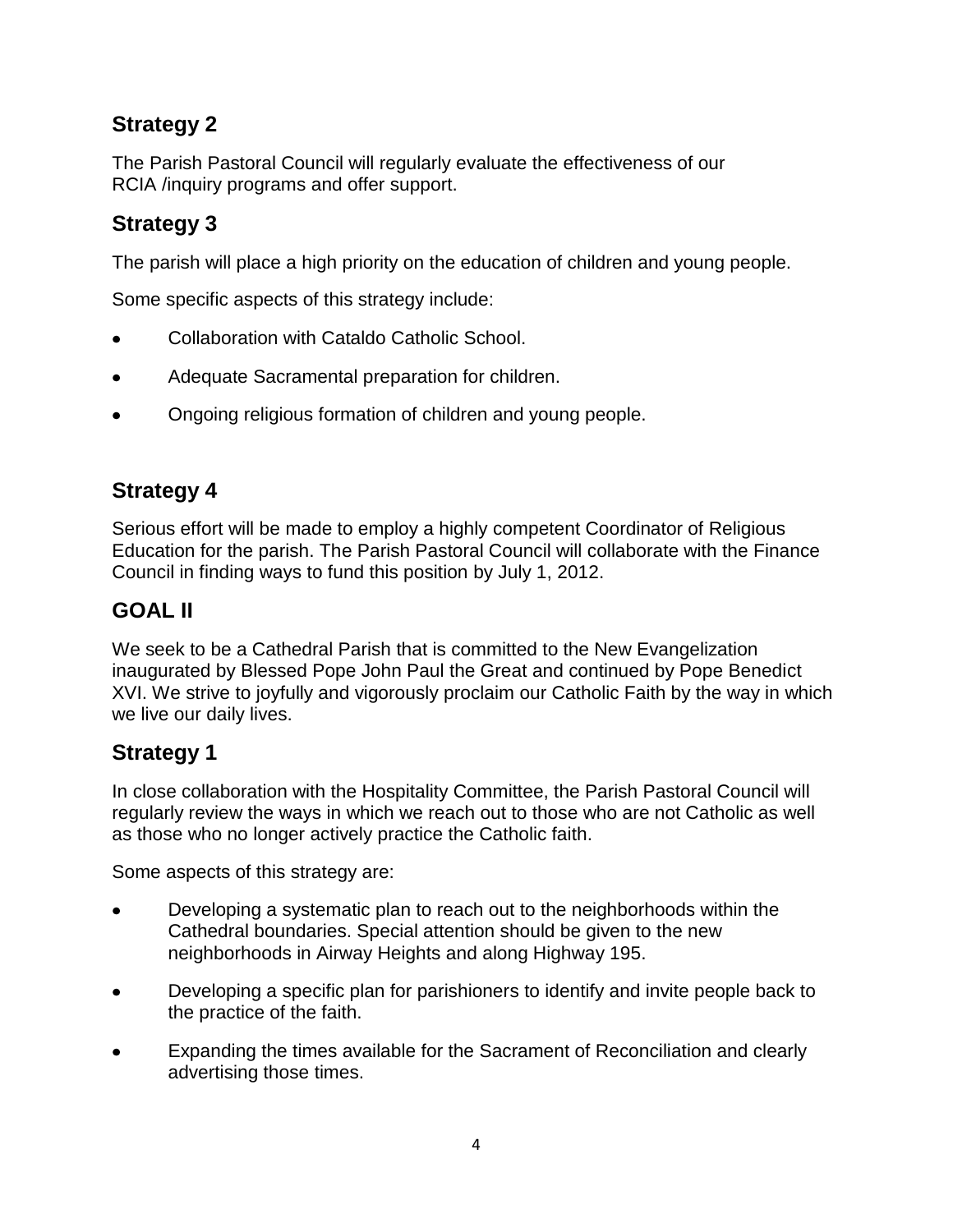## **Strategy 2**

The Parish Pastoral Council will regularly evaluate the effectiveness of our RCIA /inquiry programs and offer support.

## **Strategy 3**

The parish will place a high priority on the education of children and young people.

Some specific aspects of this strategy include:

- Collaboration with Cataldo Catholic School.
- Adequate Sacramental preparation for children.  $\bullet$
- Ongoing religious formation of children and young people.

## **Strategy 4**

Serious effort will be made to employ a highly competent Coordinator of Religious Education for the parish. The Parish Pastoral Council will collaborate with the Finance Council in finding ways to fund this position by July 1, 2012.

## **GOAL II**

We seek to be a Cathedral Parish that is committed to the New Evangelization inaugurated by Blessed Pope John Paul the Great and continued by Pope Benedict XVI. We strive to joyfully and vigorously proclaim our Catholic Faith by the way in which we live our daily lives.

#### **Strategy 1**

In close collaboration with the Hospitality Committee, the Parish Pastoral Council will regularly review the ways in which we reach out to those who are not Catholic as well as those who no longer actively practice the Catholic faith.

Some aspects of this strategy are:

- Developing a systematic plan to reach out to the neighborhoods within the Cathedral boundaries. Special attention should be given to the new neighborhoods in Airway Heights and along Highway 195.
- Developing a specific plan for parishioners to identify and invite people back to the practice of the faith.
- Expanding the times available for the Sacrament of Reconciliation and clearly  $\bullet$ advertising those times.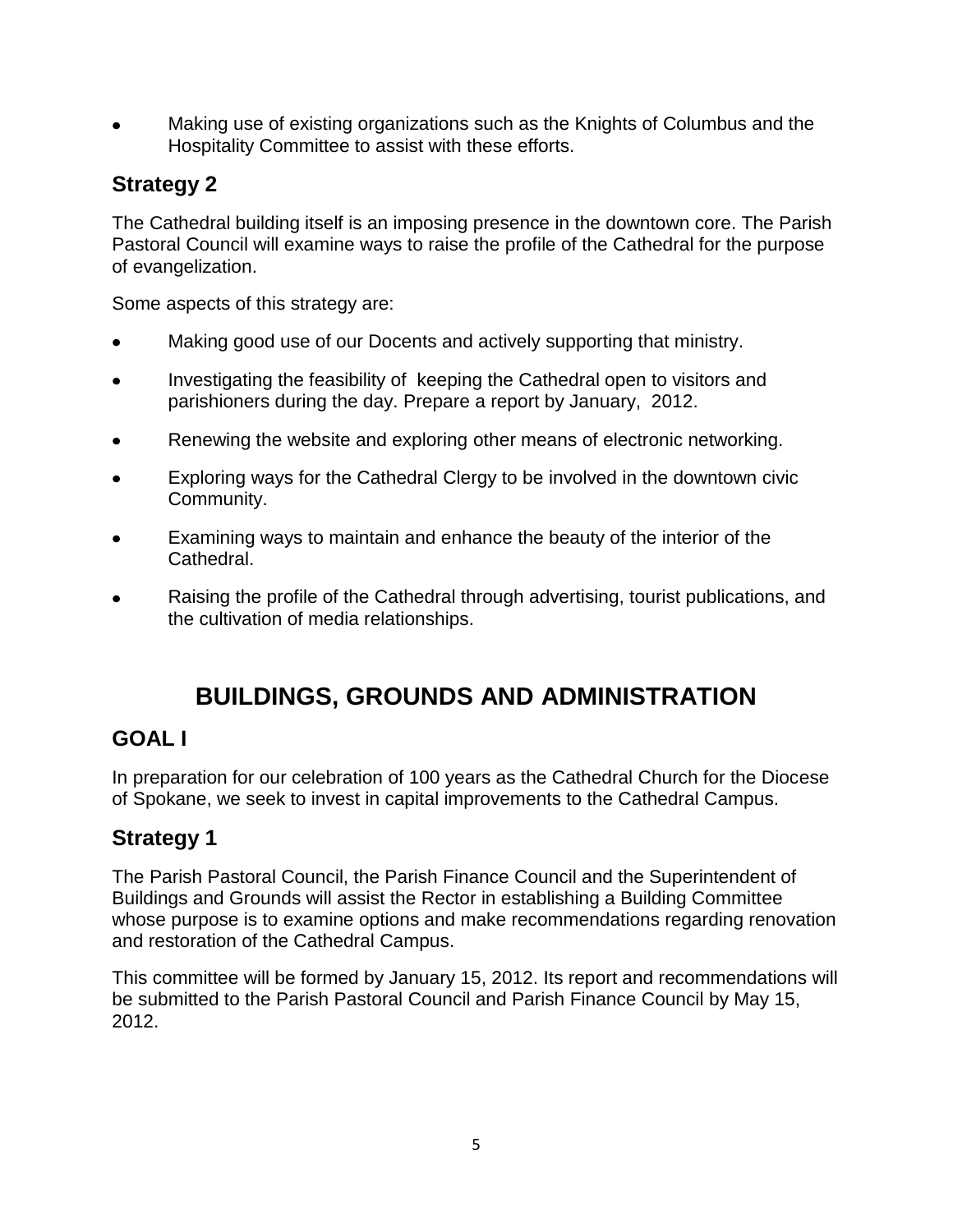Making use of existing organizations such as the Knights of Columbus and the Hospitality Committee to assist with these efforts.

## **Strategy 2**

The Cathedral building itself is an imposing presence in the downtown core. The Parish Pastoral Council will examine ways to raise the profile of the Cathedral for the purpose of evangelization.

Some aspects of this strategy are:

- Making good use of our Docents and actively supporting that ministry.
- Investigating the feasibility of keeping the Cathedral open to visitors and parishioners during the day. Prepare a report by January, 2012.
- Renewing the website and exploring other means of electronic networking.
- Exploring ways for the Cathedral Clergy to be involved in the downtown civic Community.
- Examining ways to maintain and enhance the beauty of the interior of the Cathedral.
- Raising the profile of the Cathedral through advertising, tourist publications, and the cultivation of media relationships.

# **BUILDINGS, GROUNDS AND ADMINISTRATION**

## **GOAL I**

In preparation for our celebration of 100 years as the Cathedral Church for the Diocese of Spokane, we seek to invest in capital improvements to the Cathedral Campus.

## **Strategy 1**

The Parish Pastoral Council, the Parish Finance Council and the Superintendent of Buildings and Grounds will assist the Rector in establishing a Building Committee whose purpose is to examine options and make recommendations regarding renovation and restoration of the Cathedral Campus.

This committee will be formed by January 15, 2012. Its report and recommendations will be submitted to the Parish Pastoral Council and Parish Finance Council by May 15, 2012.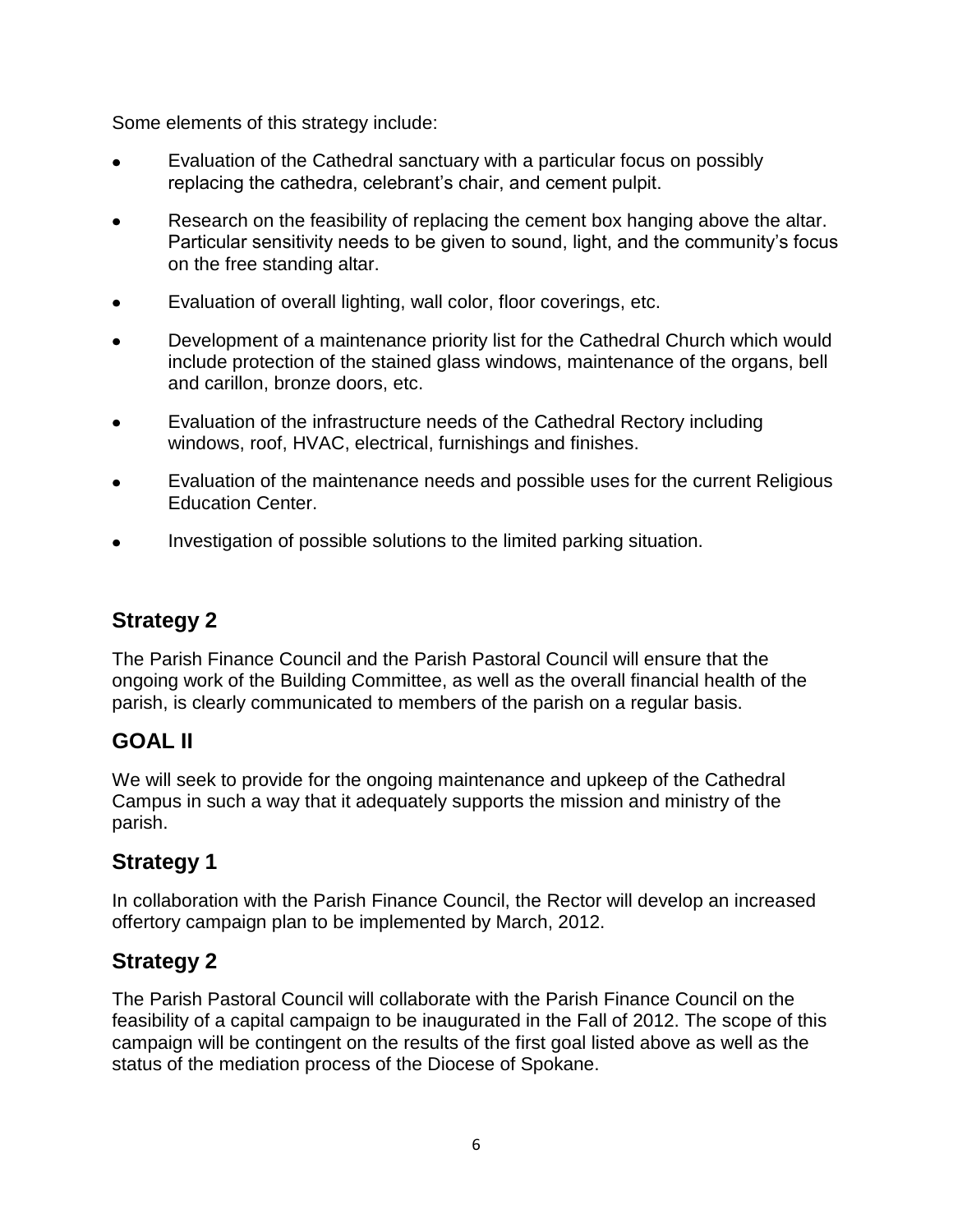Some elements of this strategy include:

- Evaluation of the Cathedral sanctuary with a particular focus on possibly replacing the cathedra, celebrant's chair, and cement pulpit.
- Research on the feasibility of replacing the cement box hanging above the altar. Particular sensitivity needs to be given to sound, light, and the community's focus on the free standing altar.
- Evaluation of overall lighting, wall color, floor coverings, etc.  $\bullet$
- Development of a maintenance priority list for the Cathedral Church which would include protection of the stained glass windows, maintenance of the organs, bell and carillon, bronze doors, etc.
- Evaluation of the infrastructure needs of the Cathedral Rectory including  $\bullet$ windows, roof, HVAC, electrical, furnishings and finishes.
- Evaluation of the maintenance needs and possible uses for the current Religious Education Center.
- Investigation of possible solutions to the limited parking situation.

## **Strategy 2**

The Parish Finance Council and the Parish Pastoral Council will ensure that the ongoing work of the Building Committee, as well as the overall financial health of the parish, is clearly communicated to members of the parish on a regular basis.

#### **GOAL II**

We will seek to provide for the ongoing maintenance and upkeep of the Cathedral Campus in such a way that it adequately supports the mission and ministry of the parish.

## **Strategy 1**

In collaboration with the Parish Finance Council, the Rector will develop an increased offertory campaign plan to be implemented by March, 2012.

#### **Strategy 2**

The Parish Pastoral Council will collaborate with the Parish Finance Council on the feasibility of a capital campaign to be inaugurated in the Fall of 2012. The scope of this campaign will be contingent on the results of the first goal listed above as well as the status of the mediation process of the Diocese of Spokane.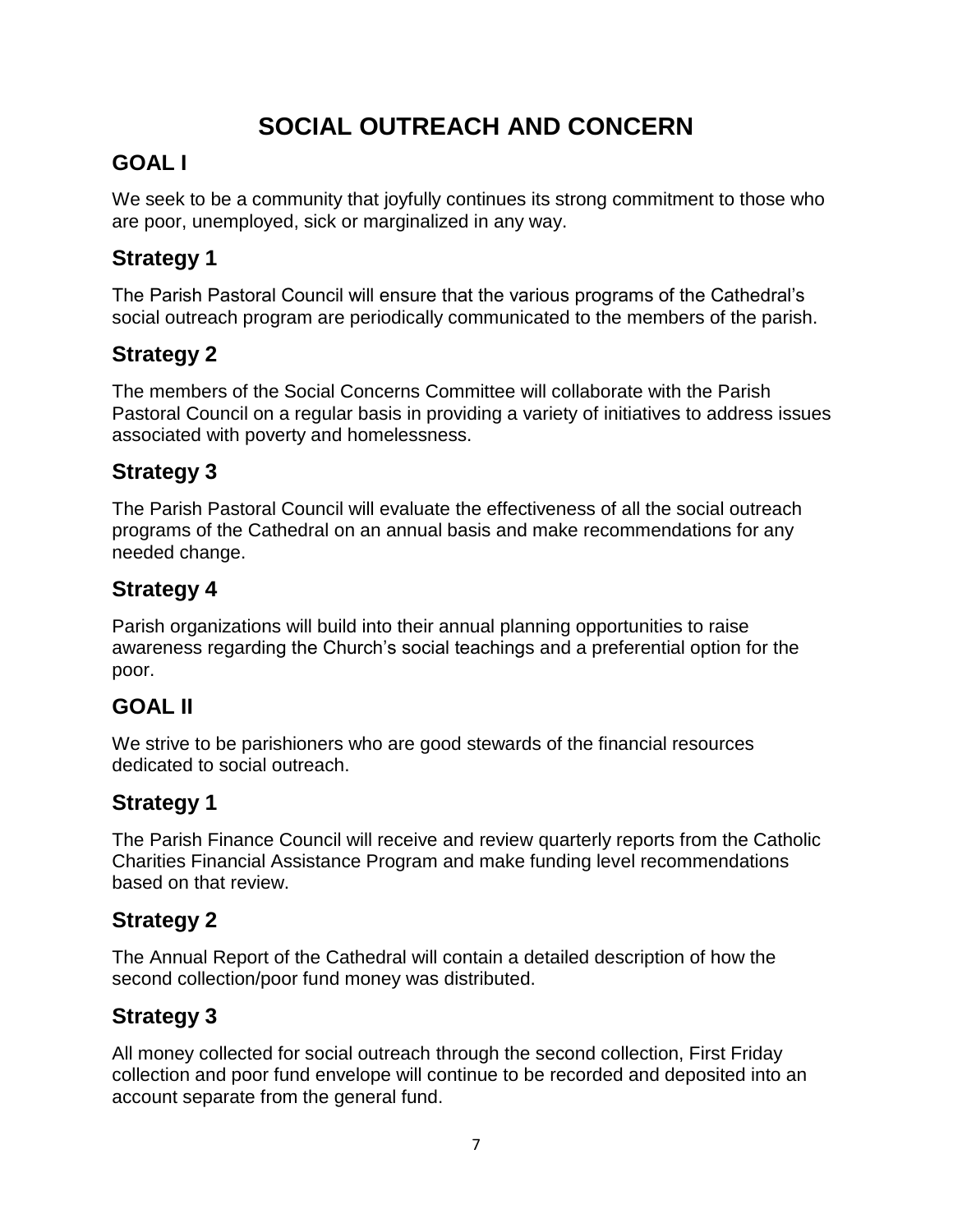# **SOCIAL OUTREACH AND CONCERN**

## **GOAL I**

We seek to be a community that joyfully continues its strong commitment to those who are poor, unemployed, sick or marginalized in any way.

## **Strategy 1**

The Parish Pastoral Council will ensure that the various programs of the Cathedral's social outreach program are periodically communicated to the members of the parish.

## **Strategy 2**

The members of the Social Concerns Committee will collaborate with the Parish Pastoral Council on a regular basis in providing a variety of initiatives to address issues associated with poverty and homelessness.

## **Strategy 3**

The Parish Pastoral Council will evaluate the effectiveness of all the social outreach programs of the Cathedral on an annual basis and make recommendations for any needed change.

### **Strategy 4**

Parish organizations will build into their annual planning opportunities to raise awareness regarding the Church's social teachings and a preferential option for the poor.

## **GOAL II**

We strive to be parishioners who are good stewards of the financial resources dedicated to social outreach.

## **Strategy 1**

The Parish Finance Council will receive and review quarterly reports from the Catholic Charities Financial Assistance Program and make funding level recommendations based on that review.

## **Strategy 2**

The Annual Report of the Cathedral will contain a detailed description of how the second collection/poor fund money was distributed.

## **Strategy 3**

All money collected for social outreach through the second collection, First Friday collection and poor fund envelope will continue to be recorded and deposited into an account separate from the general fund.